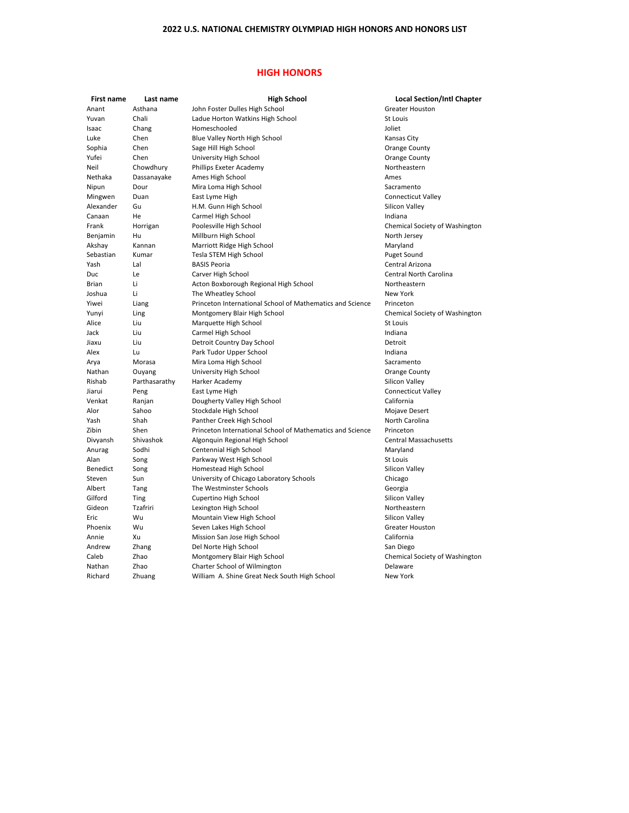## **HIGH HONORS**

| First name      | Last name     | <b>High School</b>                                        | <b>Local Section/Intl Chapter</b> |
|-----------------|---------------|-----------------------------------------------------------|-----------------------------------|
| Anant           | Asthana       | John Foster Dulles High School                            | <b>Greater Houston</b>            |
| Yuvan           | Chali         | Ladue Horton Watkins High School                          | St Louis                          |
| Isaac           | Chang         | Homeschooled                                              | Joliet                            |
| Luke            | Chen          | Blue Valley North High School                             | Kansas City                       |
| Sophia          | Chen          | Sage Hill High School                                     | Orange County                     |
| Yufei           | Chen          | University High School                                    | Orange County                     |
| Neil            | Chowdhury     | Phillips Exeter Academy                                   | Northeastern                      |
| Nethaka         | Dassanayake   | Ames High School                                          | Ames                              |
| Nipun           | Dour          | Mira Loma High School                                     | Sacramento                        |
| Mingwen         | Duan          | East Lyme High                                            | <b>Connecticut Valley</b>         |
| Alexander       | Gu            | H.M. Gunn High School                                     | Silicon Valley                    |
| Canaan          | He            | Carmel High School                                        | Indiana                           |
| Frank           | Horrigan      | Poolesville High School                                   | Chemical Society of Washington    |
| Benjamin        | Hu            | Millburn High School                                      | North Jersey                      |
| Akshay          | Kannan        | Marriott Ridge High School                                | Maryland                          |
| Sebastian       | Kumar         | Tesla STEM High School                                    | Puget Sound                       |
| Yash            | Lal           | <b>BASIS Peoria</b>                                       | Central Arizona                   |
| Duc             | Le            | Carver High School                                        | <b>Central North Carolina</b>     |
| <b>Brian</b>    | Li            | Acton Boxborough Regional High School                     | Northeastern                      |
| Joshua          | Li            | The Wheatley School                                       | New York                          |
| Yiwei           | Liang         | Princeton International School of Mathematics and Science | Princeton                         |
| Yunyi           | Ling          | Montgomery Blair High School                              | Chemical Society of Washington    |
| Alice           | Liu           | Marquette High School                                     | St Louis                          |
| Jack            | Liu           | Carmel High School                                        | Indiana                           |
| Jiaxu           | Liu           | Detroit Country Day School                                | Detroit                           |
| Alex            | Lu            | Park Tudor Upper School                                   | Indiana                           |
| Arya            | Morasa        | Mira Loma High School                                     | Sacramento                        |
| Nathan          | Ouyang        | University High School                                    | Orange County                     |
| Rishab          | Parthasarathy | Harker Academy                                            | Silicon Valley                    |
| Jiarui          | Peng          | East Lyme High                                            | <b>Connecticut Valley</b>         |
| Venkat          | Ranjan        | Dougherty Valley High School                              | California                        |
| Alor            | Sahoo         | Stockdale High School                                     | Mojave Desert                     |
| Yash            | Shah          | Panther Creek High School                                 | North Carolina                    |
| Zibin           | Shen          | Princeton International School of Mathematics and Science | Princeton                         |
| Divyansh        | Shivashok     | Algonquin Regional High School                            | <b>Central Massachusetts</b>      |
| Anurag          | Sodhi         | Centennial High School                                    | Maryland                          |
| Alan            | Song          | Parkway West High School                                  | St Louis                          |
| <b>Benedict</b> | Song          | Homestead High School                                     | Silicon Valley                    |
| Steven          | Sun           | University of Chicago Laboratory Schools                  | Chicago                           |
| Albert          | Tang          | The Westminster Schools                                   | Georgia                           |
| Gilford         | <b>Ting</b>   | Cupertino High School                                     | Silicon Valley                    |
| Gideon          | Tzafriri      | Lexington High School                                     | Northeastern                      |
| Eric            | Wu            | Mountain View High School                                 | Silicon Valley                    |
| Phoenix         | Wu            | Seven Lakes High School                                   | <b>Greater Houston</b>            |
| Annie           | Xu            | Mission San Jose High School                              | California                        |
| Andrew          | Zhang         | Del Norte High School                                     | San Diego                         |
| Caleb           | Zhao          | Montgomery Blair High School                              | Chemical Society of Washington    |
| Nathan          | Zhao          | Charter School of Wilmington                              | Delaware                          |
| Richard         | Zhuang        | William A. Shine Great Neck South High School             | New York                          |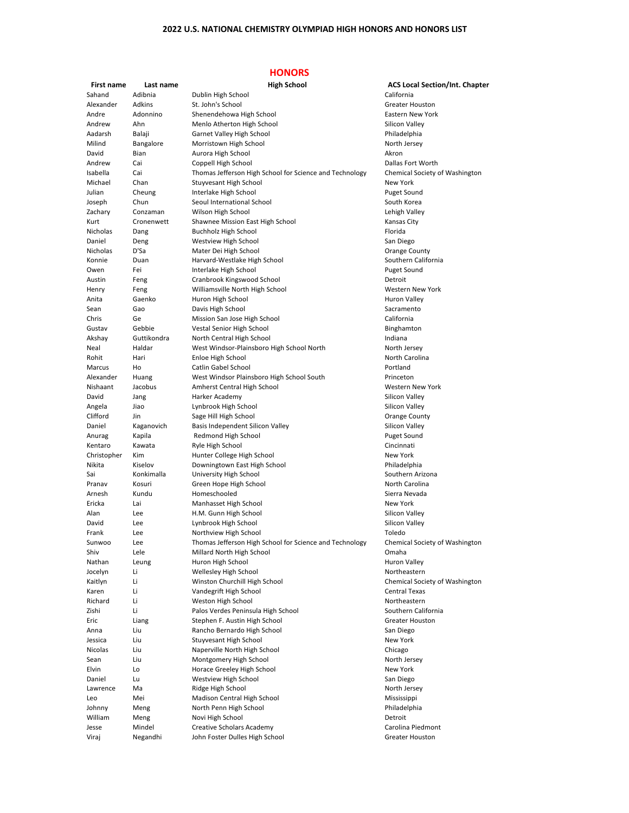## **HONORS**

| <b>First name</b>  | Last name     | <b>High School</b>                                      | <b>ACS Local Section/Int. Chapter</b> |
|--------------------|---------------|---------------------------------------------------------|---------------------------------------|
| Sahand             | Adibnia       | Dublin High School                                      | California                            |
| Alexander          | <b>Adkins</b> | St. John's School                                       | <b>Greater Houston</b>                |
| Andre              | Adonnino      | Shenendehowa High School                                | Eastern New York                      |
| Andrew             | Ahn           | Menlo Atherton High School                              | Silicon Valley                        |
| Aadarsh            | Balaji        | Garnet Valley High School                               | Philadelphia                          |
| Milind             | Bangalore     | Morristown High School                                  | North Jersey                          |
| David              |               | Aurora High School                                      | Akron                                 |
|                    | Bian          |                                                         |                                       |
| Andrew             | Cai           | Coppell High School                                     | Dallas Fort Worth                     |
| Isabella           | Cai           | Thomas Jefferson High School for Science and Technology | Chemical Society of Washington        |
| Michael            | Chan          | <b>Stuyvesant High School</b>                           | <b>New York</b>                       |
| Julian             | Cheung        | Interlake High School                                   | Puget Sound                           |
| Joseph             | Chun          | Seoul International School                              | South Korea                           |
| Zachary            | Conzaman      | Wilson High School                                      | Lehigh Valley                         |
| Kurt               | Cronenwett    | Shawnee Mission East High School                        | Kansas City                           |
| <b>Nicholas</b>    | Dang          | Buchholz High School                                    | Florida                               |
| Daniel             | Deng          | Westview High School                                    | San Diego                             |
| Nicholas           | D'Sa          | Mater Dei High School                                   | Orange County                         |
| Konnie             | Duan          | Harvard-Westlake High School                            | Southern California                   |
| Owen               | Fei           | Interlake High School                                   | <b>Puget Sound</b>                    |
|                    |               |                                                         | Detroit                               |
| Austin             | Feng          | Cranbrook Kingswood School                              |                                       |
| Henry              | Feng          | Williamsville North High School                         | Western New York                      |
| Anita              | Gaenko        | Huron High School                                       | <b>Huron Valley</b>                   |
| Sean               | Gao           | Davis High School                                       | Sacramento                            |
| Chris              | Ge            | Mission San Jose High School                            | California                            |
| Gustav             | Gebbie        | Vestal Senior High School                               | Binghamton                            |
| Akshay             | Guttikondra   | North Central High School                               | Indiana                               |
| Neal               | Haldar        | West Windsor-Plainsboro High School North               | North Jersey                          |
| Rohit              | Hari          | Enloe High School                                       | North Carolina                        |
| Marcus             | Ho            | Catlin Gabel School                                     | Portland                              |
| Alexander          | Huang         | West Windsor Plainsboro High School South               | Princeton                             |
| Nishaant           | Jacobus       | Amherst Central High School                             | Western New York                      |
| David              | Jang          | Harker Academy                                          | Silicon Valley                        |
|                    | Jiao          | Lynbrook High School                                    | Silicon Valley                        |
| Angela<br>Clifford | Jin           |                                                         |                                       |
|                    |               | Sage Hill High School                                   | Orange County                         |
| Daniel             | Kaganovich    | Basis Independent Silicon Valley                        | Silicon Valley                        |
| Anurag             | Kapila        | Redmond High School                                     | <b>Puget Sound</b>                    |
| Kentaro            | Kawata        | Ryle High School                                        | Cincinnati                            |
| Christopher        | Kim           | Hunter College High School                              | <b>New York</b>                       |
| Nikita             | Kiselov       | Downingtown East High School                            | Philadelphia                          |
| Sai                | Konkimalla    | University High School                                  | Southern Arizona                      |
| Pranav             | Kosuri        | Green Hope High School                                  | North Carolina                        |
| Arnesh             | Kundu         | Homeschooled                                            | Sierra Nevada                         |
| Ericka             | Lai           | Manhasset High School                                   | <b>New York</b>                       |
| Alan               | Lee           | H.M. Gunn High School                                   | Silicon Valley                        |
| David              | Lee           | Lynbrook High School                                    | Silicon Valley                        |
| Frank              | Lee           | Northview High School                                   | Toledo                                |
| Sunwoo             | Lee           | Thomas Jefferson High School for Science and Technology | Chemical Society of Washington        |
| Shiv               | Lele          | Millard North High School                               | Omaha                                 |
| Nathan             | Leung         | Huron High School                                       | <b>Huron Valley</b>                   |
| Jocelyn            | Li            | Wellesley High School                                   | Northeastern                          |
| Kaitlyn            | Li            | Winston Churchill High School                           | Chemical Society of Washington        |
| Karen              | Li            | Vandegrift High School                                  | <b>Central Texas</b>                  |
| Richard            | Li            | Weston High School                                      | Northeastern                          |
| Zishi              | Li            | Palos Verdes Peninsula High School                      | Southern California                   |
|                    |               |                                                         |                                       |
| Eric               | Liang         | Stephen F. Austin High School                           | <b>Greater Houston</b>                |
| Anna               | Liu           | Rancho Bernardo High School                             | San Diego                             |
| Jessica            | Liu           | <b>Stuyvesant High School</b>                           | <b>New York</b>                       |
| <b>Nicolas</b>     | Liu           | Naperville North High School                            | Chicago                               |
| Sean               | Liu           | Montgomery High School                                  | North Jersey                          |
| Elvin              | Lo            | Horace Greeley High School                              | New York                              |
| Daniel             | Lu            | Westview High School                                    | San Diego                             |
| Lawrence           | Ma            | Ridge High School                                       | North Jersey                          |
| Leo                | Mei           | Madison Central High School                             | Mississippi                           |
| Johnny             | Meng          | North Penn High School                                  | Philadelphia                          |
| William            | Meng          | Novi High School                                        | Detroit                               |
| Jesse              | Mindel        | <b>Creative Scholars Academy</b>                        | Carolina Piedmont                     |
| Viraj              | Negandhi      | John Foster Dulles High School                          | Greater Houston                       |
|                    |               |                                                         |                                       |